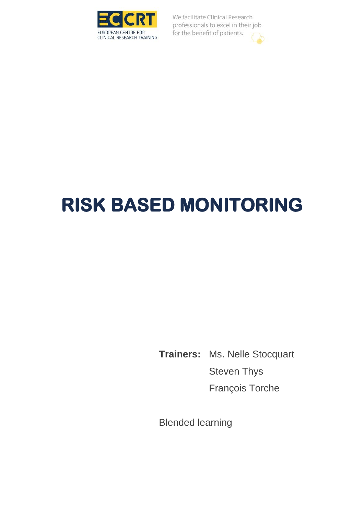

# **RISK BASED MONITORING**

**Trainers:** Ms. Nelle Stocquart Steven Thys François Torche

Blended learning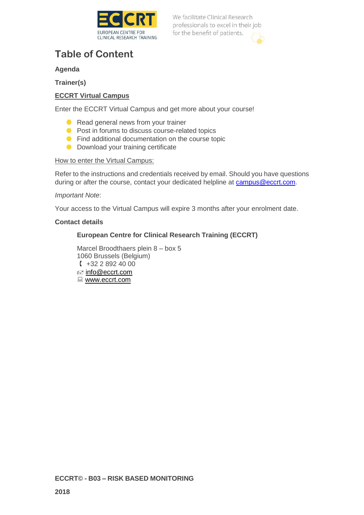

### **Table of Content**

### **Agenda**

**Trainer(s)**

### **ECCRT Virtual Campus**

Enter the ECCRT Virtual Campus and get more about your course!

- Read general news from your trainer
- **Post in forums to discuss course-related topics**
- **Find additional documentation on the course topic**
- **Download your training certificate**

### How to enter the Virtual Campus:

Refer to the instructions and credentials received by email. Should you have questions during or after the course, contact your dedicated helpline at [campus@eccrt.com.](mailto:campus@eccrt.com)

### *Important Note*:

Your access to the Virtual Campus will expire 3 months after your enrolment date.

### **Contact details**

### **European Centre for Clinical Research Training (ECCRT)**

Marcel Broodthaers plein 8 – box 5 1060 Brussels (Belgium)  $+3228924000$ ≢≡ [info@eccrt.com](mailto:info@eccrt.com) ■ www.eccrt.com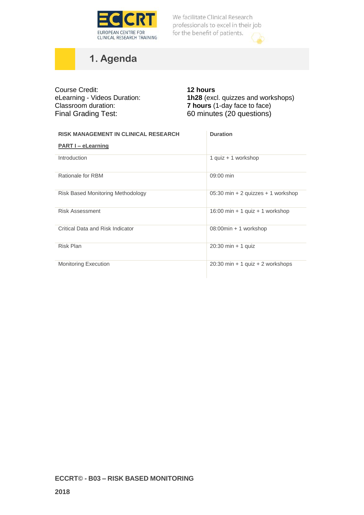

# **1. Agenda**

| Course Credit:<br>eLearning - Videos Duration:<br>Classroom duration:<br><b>Final Grading Test:</b> | <b>12 hours</b><br>1h28 (excl. quizzes and workshops)<br><b>7 hours</b> (1-day face to face)<br>60 minutes (20 questions) |
|-----------------------------------------------------------------------------------------------------|---------------------------------------------------------------------------------------------------------------------------|
| <b>RISK MANAGEMENT IN CLINICAL RESEARCH</b>                                                         | <b>Duration</b>                                                                                                           |
| <b>PART I - eLearning</b>                                                                           |                                                                                                                           |
| Introduction                                                                                        | 1 quiz + 1 workshop                                                                                                       |
| Rationale for RBM                                                                                   | 09:00 min                                                                                                                 |
| <b>Risk Based Monitoring Methodology</b>                                                            | 05:30 min + 2 quizzes + 1 workshop                                                                                        |
| <b>Risk Assessment</b>                                                                              | 16:00 min + 1 quiz + 1 workshop                                                                                           |
| Critical Data and Risk Indicator                                                                    | 08:00min + 1 workshop                                                                                                     |
| Risk Plan                                                                                           | $20:30$ min + 1 quiz                                                                                                      |
| <b>Monitoring Execution</b>                                                                         | $20:30$ min + 1 quiz + 2 workshops                                                                                        |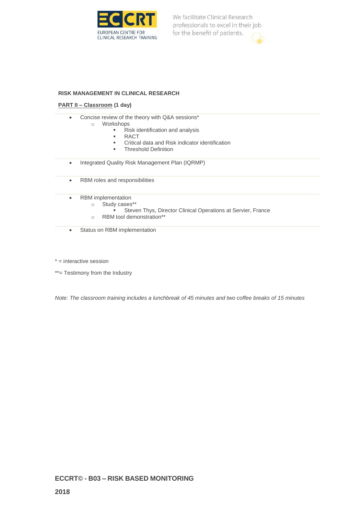

#### **RISK MANAGEMENT IN CLINICAL RESEARCH**

#### **PART II – Classroom (1 day)**

- Concise review of the theory with Q&A sessions\*
	- o Workshops
		- Risk identification and analysis
		- RACT
		- Critical data and Risk indicator identification
		- **■** Threshold Definition
- Integrated Quality Risk Management Plan (IQRMP)
- RBM roles and responsibilities
- RBM implementation
	- o Study cases\*\*
		- **EXECTE Steven Thys, Director Clinical Operations at Servier, France**
	- o RBM tool demonstration\*\*
- Status on RBM implementation

\* = interactive session

\*\*= Testimony from the Industry

*Note: The classroom training includes a lunchbreak of 45 minutes and two coffee breaks of 15 minutes*